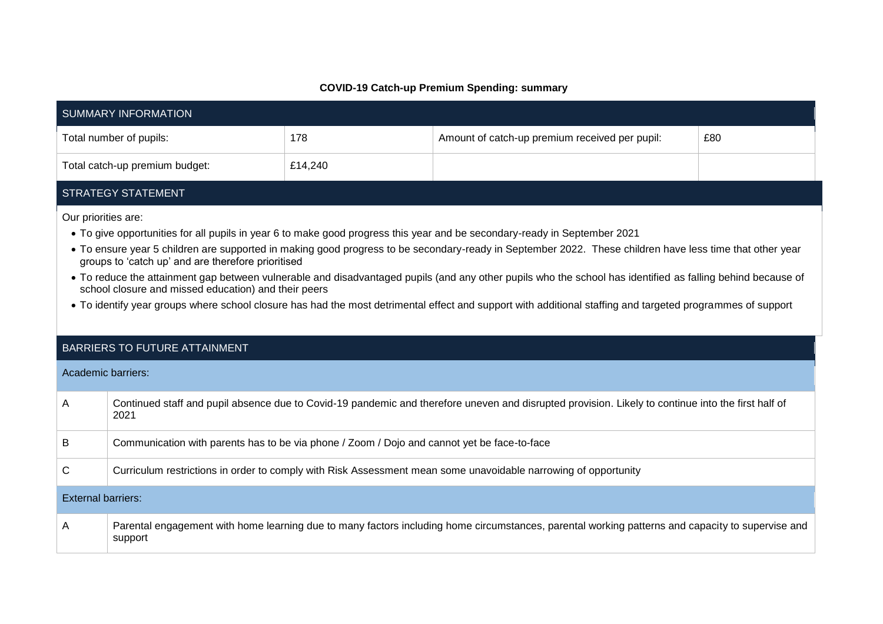## **COVID-19 Catch-up Premium Spending: summary**

| <b>SUMMARY INFORMATION</b>                                                                                                                                                                                                                                                                                                                                                                                                                                                                                                                                                                                                                                                                                                                              |                                                                                                                                                             |         |                                                |     |  |  |  |
|---------------------------------------------------------------------------------------------------------------------------------------------------------------------------------------------------------------------------------------------------------------------------------------------------------------------------------------------------------------------------------------------------------------------------------------------------------------------------------------------------------------------------------------------------------------------------------------------------------------------------------------------------------------------------------------------------------------------------------------------------------|-------------------------------------------------------------------------------------------------------------------------------------------------------------|---------|------------------------------------------------|-----|--|--|--|
|                                                                                                                                                                                                                                                                                                                                                                                                                                                                                                                                                                                                                                                                                                                                                         | Total number of pupils:                                                                                                                                     | 178     | Amount of catch-up premium received per pupil: | £80 |  |  |  |
|                                                                                                                                                                                                                                                                                                                                                                                                                                                                                                                                                                                                                                                                                                                                                         | Total catch-up premium budget:                                                                                                                              | £14,240 |                                                |     |  |  |  |
| <b>STRATEGY STATEMENT</b>                                                                                                                                                                                                                                                                                                                                                                                                                                                                                                                                                                                                                                                                                                                               |                                                                                                                                                             |         |                                                |     |  |  |  |
| Our priorities are:<br>• To give opportunities for all pupils in year 6 to make good progress this year and be secondary-ready in September 2021<br>• To ensure year 5 children are supported in making good progress to be secondary-ready in September 2022. These children have less time that other year<br>groups to 'catch up' and are therefore prioritised<br>• To reduce the attainment gap between vulnerable and disadvantaged pupils (and any other pupils who the school has identified as falling behind because of<br>school closure and missed education) and their peers<br>• To identify year groups where school closure has had the most detrimental effect and support with additional staffing and targeted programmes of support |                                                                                                                                                             |         |                                                |     |  |  |  |
| BARRIERS TO FUTURE ATTAINMENT                                                                                                                                                                                                                                                                                                                                                                                                                                                                                                                                                                                                                                                                                                                           |                                                                                                                                                             |         |                                                |     |  |  |  |
| Academic barriers:                                                                                                                                                                                                                                                                                                                                                                                                                                                                                                                                                                                                                                                                                                                                      |                                                                                                                                                             |         |                                                |     |  |  |  |
| Α                                                                                                                                                                                                                                                                                                                                                                                                                                                                                                                                                                                                                                                                                                                                                       | Continued staff and pupil absence due to Covid-19 pandemic and therefore uneven and disrupted provision. Likely to continue into the first half of<br>2021  |         |                                                |     |  |  |  |
| B                                                                                                                                                                                                                                                                                                                                                                                                                                                                                                                                                                                                                                                                                                                                                       | Communication with parents has to be via phone / Zoom / Dojo and cannot yet be face-to-face                                                                 |         |                                                |     |  |  |  |
| C                                                                                                                                                                                                                                                                                                                                                                                                                                                                                                                                                                                                                                                                                                                                                       | Curriculum restrictions in order to comply with Risk Assessment mean some unavoidable narrowing of opportunity                                              |         |                                                |     |  |  |  |
| <b>External barriers:</b>                                                                                                                                                                                                                                                                                                                                                                                                                                                                                                                                                                                                                                                                                                                               |                                                                                                                                                             |         |                                                |     |  |  |  |
| A                                                                                                                                                                                                                                                                                                                                                                                                                                                                                                                                                                                                                                                                                                                                                       | Parental engagement with home learning due to many factors including home circumstances, parental working patterns and capacity to supervise and<br>support |         |                                                |     |  |  |  |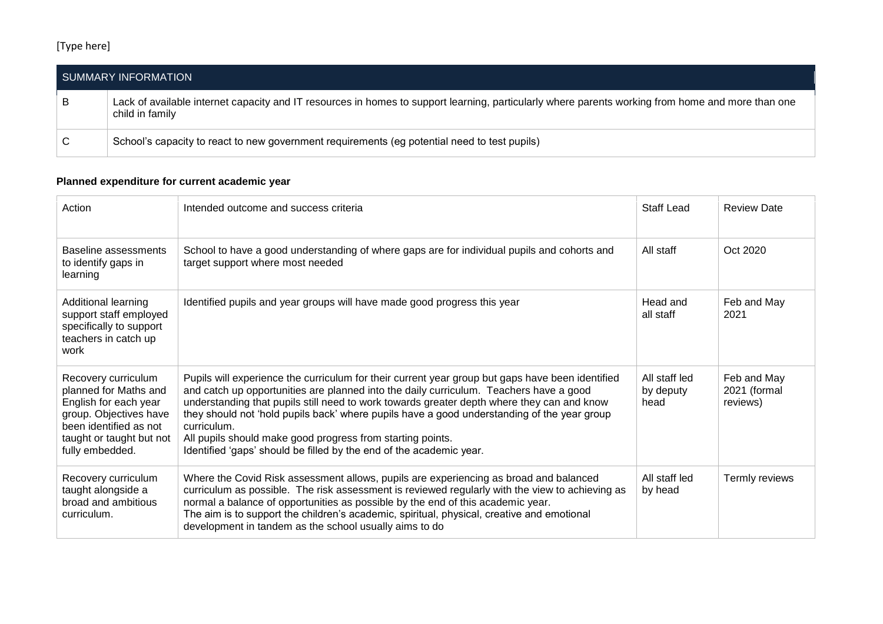## [Type here]

| SUMMARY INFORMATION |                                                                                                                                                                      |  |  |  |
|---------------------|----------------------------------------------------------------------------------------------------------------------------------------------------------------------|--|--|--|
| B                   | Lack of available internet capacity and IT resources in homes to support learning, particularly where parents working from home and more than one<br>child in family |  |  |  |
| ⊥ C                 | School's capacity to react to new government requirements (eg potential need to test pupils)                                                                         |  |  |  |

## **Planned expenditure for current academic year**

| Action                                                                                                                                                                   | Intended outcome and success criteria                                                                                                                                                                                                                                                                                                                                                                                                                                                                                                       | <b>Staff Lead</b>                  | <b>Review Date</b>                      |
|--------------------------------------------------------------------------------------------------------------------------------------------------------------------------|---------------------------------------------------------------------------------------------------------------------------------------------------------------------------------------------------------------------------------------------------------------------------------------------------------------------------------------------------------------------------------------------------------------------------------------------------------------------------------------------------------------------------------------------|------------------------------------|-----------------------------------------|
| Baseline assessments<br>to identify gaps in<br>learning                                                                                                                  | School to have a good understanding of where gaps are for individual pupils and cohorts and<br>target support where most needed                                                                                                                                                                                                                                                                                                                                                                                                             | All staff                          | Oct 2020                                |
| Additional learning<br>support staff employed<br>specifically to support<br>teachers in catch up<br>work                                                                 | Identified pupils and year groups will have made good progress this year                                                                                                                                                                                                                                                                                                                                                                                                                                                                    | Head and<br>all staff              | Feb and May<br>2021                     |
| Recovery curriculum<br>planned for Maths and<br>English for each year<br>group. Objectives have<br>been identified as not<br>taught or taught but not<br>fully embedded. | Pupils will experience the curriculum for their current year group but gaps have been identified<br>and catch up opportunities are planned into the daily curriculum. Teachers have a good<br>understanding that pupils still need to work towards greater depth where they can and know<br>they should not 'hold pupils back' where pupils have a good understanding of the year group<br>curriculum.<br>All pupils should make good progress from starting points.<br>Identified 'gaps' should be filled by the end of the academic year. | All staff led<br>by deputy<br>head | Feb and May<br>2021 (formal<br>reviews) |
| Recovery curriculum<br>taught alongside a<br>broad and ambitious<br>curriculum.                                                                                          | Where the Covid Risk assessment allows, pupils are experiencing as broad and balanced<br>curriculum as possible. The risk assessment is reviewed regularly with the view to achieving as<br>normal a balance of opportunities as possible by the end of this academic year.<br>The aim is to support the children's academic, spiritual, physical, creative and emotional<br>development in tandem as the school usually aims to do                                                                                                         | All staff led<br>by head           | Termly reviews                          |